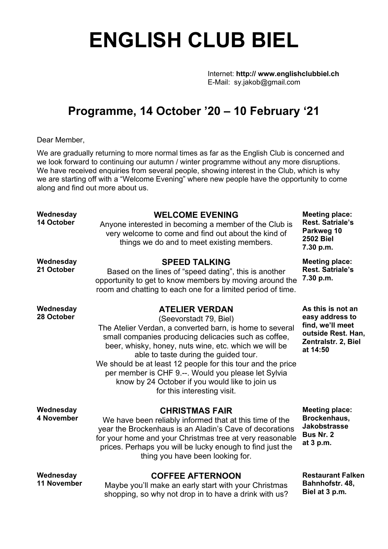# **ENGLISH CLUB BIEL**

Internet: **http:// www.englishclubbiel.ch** E-Mail: sy.jakob@gmail.com

## **Programme, 14 October '20 – 10 February '21**

Dear Member,

We are gradually returning to more normal times as far as the English Club is concerned and we look forward to continuing our autumn / winter programme without any more disruptions. We have received enquiries from several people, showing interest in the Club, which is why we are starting off with a "Welcome Evening" where new people have the opportunity to come along and find out more about us.

| Wednesday<br>14 October  | <b>WELCOME EVENING</b><br>Anyone interested in becoming a member of the Club is<br>very welcome to come and find out about the kind of<br>things we do and to meet existing members.                                                                                                                                                                                                                                                                                           | <b>Meeting place:</b><br><b>Rest. Satriale's</b><br>Parkweg 10<br><b>2502 Biel</b><br>7.30 p.m.                   |
|--------------------------|--------------------------------------------------------------------------------------------------------------------------------------------------------------------------------------------------------------------------------------------------------------------------------------------------------------------------------------------------------------------------------------------------------------------------------------------------------------------------------|-------------------------------------------------------------------------------------------------------------------|
| Wednesday<br>21 October  | <b>SPEED TALKING</b><br>Based on the lines of "speed dating", this is another<br>opportunity to get to know members by moving around the<br>room and chatting to each one for a limited period of time.                                                                                                                                                                                                                                                                        | <b>Meeting place:</b><br><b>Rest. Satriale's</b><br>7.30 p.m.                                                     |
| Wednesday<br>28 October  | <b>ATELIER VERDAN</b><br>(Seevorstadt 79, Biel)<br>The Atelier Verdan, a converted barn, is home to several<br>small companies producing delicacies such as coffee,<br>beer, whisky, honey, nuts wine, etc. which we will be<br>able to taste during the guided tour.<br>We should be at least 12 people for this tour and the price<br>per member is CHF 9 .--. Would you please let Sylvia<br>know by 24 October if you would like to join us<br>for this interesting visit. | As this is not an<br>easy address to<br>find, we'll meet<br>outside Rest. Han,<br>Zentralstr. 2, Biel<br>at 14:50 |
| Wednesday<br>4 November  | <b>CHRISTMAS FAIR</b><br>We have been reliably informed that at this time of the<br>year the Brockenhaus is an Aladin's Cave of decorations<br>for your home and your Christmas tree at very reasonable<br>prices. Perhaps you will be lucky enough to find just the<br>thing you have been looking for.                                                                                                                                                                       | <b>Meeting place:</b><br>Brockenhaus,<br><b>Jakobstrasse</b><br>Bus Nr. 2<br>at 3 p.m.                            |
| Wednesday<br>11 November | <b>COFFEE AFTERNOON</b><br>Maybe you'll make an early start with your Christmas<br>shopping, so why not drop in to have a drink with us?                                                                                                                                                                                                                                                                                                                                       | <b>Restaurant Falken</b><br>Bahnhofstr. 48,<br>Biel at 3 p.m.                                                     |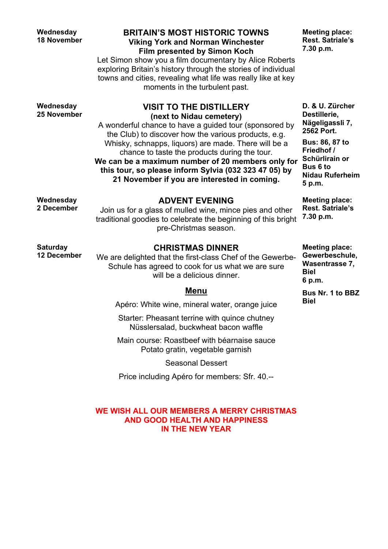**Wednesday 25 November**

#### **BRITAIN'S MOST HISTORIC TOWNS Viking York and Norman Winchester Film presented by Simon Koch**

Let Simon show you a film documentary by Alice Roberts exploring Britain's history through the stories of individual towns and cities, revealing what life was really like at key moments in the turbulent past.

> **VISIT TO THE DISTILLERY (next to Nidau cemetery)**

**Meeting place: Rest. Satriale's 7.30 p.m.**

A wonderful chance to have a guided tour (sponsored by the Club) to discover how the various products, e.g. Whisky, schnapps, liquors) are made. There will be a chance to taste the products during the tour. **We can be a maximum number of 20 members only for this tour, so please inform Sylvia (032 323 47 05) by D. & U. Zürcher Destillerie, Nägeligassli 7, 2562 Port. Bus: 86, 87 to Friedhof / Schürlirain or Bus 6 to**

**5 p.m.**

**Meeting place: Rest. Satriale's 7.30 p.m.**

**Nidau Ruferheim**

**Saturday**

**Wednesday 2 December**

**12 December**

## **ADVENT EVENING**

**21 November if you are interested in coming.**

Join us for a glass of mulled wine, mince pies and other traditional goodies to celebrate the beginning of this bright pre-Christmas season.

#### **CHRISTMAS DINNER**

We are delighted that the first-class Chef of the Gewerbe-Schule has agreed to cook for us what we are sure will be a delicious dinner.

#### **Menu**

Apéro: White wine, mineral water, orange juice

Starter: Pheasant terrine with quince chutney Nüsslersalad, buckwheat bacon waffle

Main course: Roastbeef with béarnaise sauce Potato gratin, vegetable garnish

Seasonal Dessert

Price including Apéro for members: Sfr. 40.--

#### **WE WISH ALL OUR MEMBERS A MERRY CHRISTMAS AND GOOD HEALTH AND HAPPINESS IN THE NEW YEAR**

**Meeting place: Gewerbeschule, Wasentrasse 7, Biel 6 p.m.**

**Bus Nr. 1 to BBZ Biel**